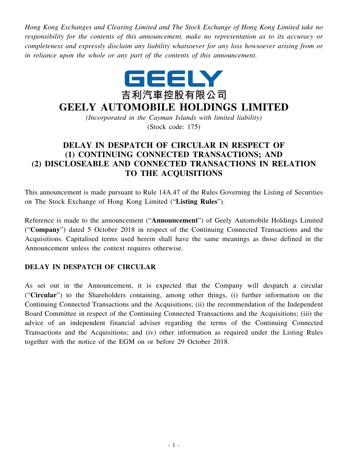*Hong Kong Exchanges and Clearing Limited and The Stock Exchange of Hong Kong Limited take no responsibility for the contents of this announcement, make no representation as to its accuracy or completeness and expressly disclaim any liability whatsoever for any loss howsoever arising from or in reliance upon the whole or any part of the contents of this announcement.*



## **GEELY AUTOMOBILE HOLDINGS LIMITED**

*(Incorporated in the Cayman Islands with limited liability)* (Stock code: 175)

## **DELAY IN DESPATCH OF CIRCULAR IN RESPECT OF (1) CONTINUING CONNECTED TRANSACTIONS; AND (2) DISCLOSEABLE AND CONNECTED TRANSACTIONS IN RELATION TO THE ACQUISITIONS**

This announcement is made pursuant to Rule 14A.47 of the Rules Governing the Listing of Securities on The Stock Exchange of Hong Kong Limited ("**Listing Rules**").

Reference is made to the announcement ("**Announcement**") of Geely Automobile Holdings Limited ("**Company**") dated 5 October 2018 in respect of the Continuing Connected Transactions and the Acquisitions. Capitalised terms used herein shall have the same meanings as those defined in the Announcement unless the context requires otherwise.

## **DELAY IN DESPATCH OF CIRCULAR**

As set out in the Announcement, it is expected that the Company will despatch a circular ("**Circular**") to the Shareholders containing, among other things, (i) further information on the Continuing Connected Transactions and the Acquisitions; (ii) the recommendation of the Independent Board Committee in respect of the Continuing Connected Transactions and the Acquisitions; (iii) the advice of an independent financial adviser regarding the terms of the Continuing Connected Transactions and the Acquisitions; and (iv) other information as required under the Listing Rules together with the notice of the EGM on or before 29 October 2018.